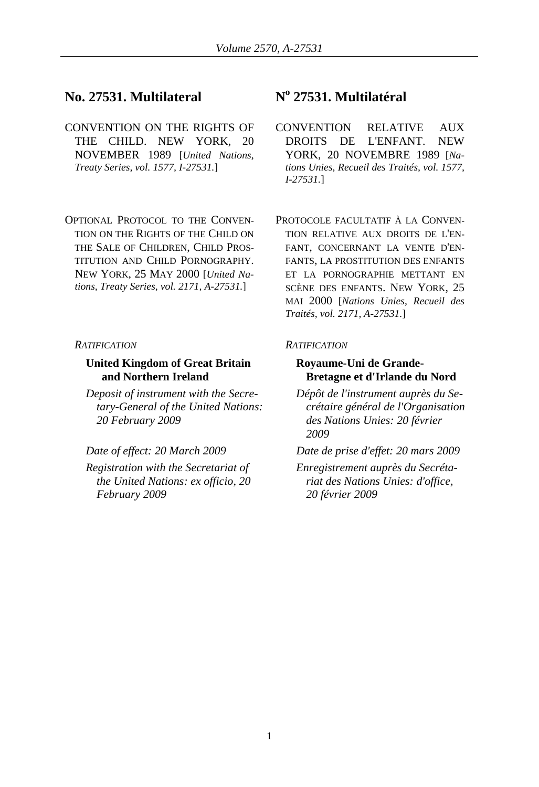# No. 27531. Multilateral

- CONVENTION ON THE RIGHTS OF THE CHILD. NEW YORK, 20 NOVEMBER 1989 [*United Nations, Treaty Series, vol. 1577, I-27531.*]
- OPTIONAL PROTOCOL TO THE CONVEN-TION ON THE RIGHTS OF THE CHILD ON THE SALE OF CHILDREN, CHILD PROS-TITUTION AND CHILD PORNOGRAPHY. NEW YORK, 25 MAY 2000 [*United Nations, Treaty Series, vol. 2171, A-27531.*]

### *RATIFICATION RATIFICATION*

# **United Kingdom of Great Britain and Northern Ireland**

*Deposit of instrument with the Secretary-General of the United Nations: 20 February 2009* 

*Registration with the Secretariat of the United Nations: ex officio, 20 February 2009* 

# **27531. Multilatéral**

- CONVENTION RELATIVE AUX DROITS DE L'ENFANT. NEW YORK, 20 NOVEMBRE 1989 [*Nations Unies, Recueil des Traités, vol. 1577, I-27531.*]
- PROTOCOLE FACULTATIF À LA CONVEN-TION RELATIVE AUX DROITS DE L'EN-FANT, CONCERNANT LA VENTE D'EN-FANTS, LA PROSTITUTION DES ENFANTS ET LA PORNOGRAPHIE METTANT EN SCÈNE DES ENFANTS. NEW YORK, 25 MAI 2000 [*Nations Unies, Recueil des Traités, vol. 2171, A-27531.*]

# **Royaume-Uni de Grande-Bretagne et d'Irlande du Nord**

*Dépôt de l'instrument auprès du Secrétaire général de l'Organisation des Nations Unies: 20 février 2009* 

*Date of effect: 20 March 2009 Date de prise d'effet: 20 mars 2009* 

*Enregistrement auprès du Secrétariat des Nations Unies: d'office, 20 février 2009*